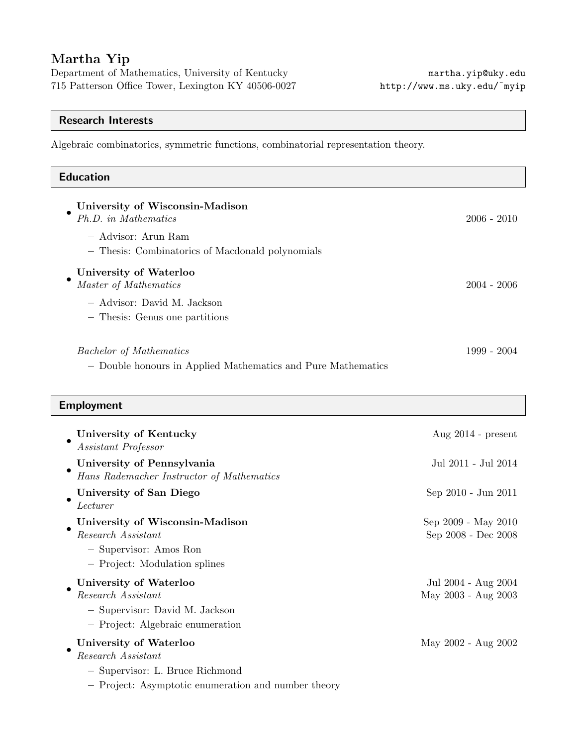# Martha Yip

Department of Mathematics, University of Kentucky martha.yip@uky.edu 715 Patterson Office Tower, Lexington KY 40506-0027 http://www.ms.uky.edu/˜myip

# Research Interests

Algebraic combinatorics, symmetric functions, combinatorial representation theory.

| <b>Education</b>                                                                                                                   |                                            |
|------------------------------------------------------------------------------------------------------------------------------------|--------------------------------------------|
| University of Wisconsin-Madison<br>Ph.D. in Mathematics<br>- Advisor: Arun Ram<br>- Thesis: Combinatorics of Macdonald polynomials | $2006 - 2010$                              |
| University of Waterloo<br>Master of Mathematics<br>- Advisor: David M. Jackson                                                     | $2004 - 2006$                              |
| - Thesis: Genus one partitions                                                                                                     |                                            |
| <b>Bachelor</b> of Mathematics<br>- Double honours in Applied Mathematics and Pure Mathematics                                     | $1999 - 2004$                              |
| <b>Employment</b>                                                                                                                  |                                            |
| University of Kentucky<br>Assistant Professor                                                                                      | Aug $2014$ - present                       |
| University of Pennsylvania<br>Hans Rademacher Instructor of Mathematics                                                            | Jul 2011 - Jul 2014                        |
| University of San Diego<br>Lecturer                                                                                                | Sep 2010 - Jun 2011                        |
| University of Wisconsin-Madison<br>Research Assistant<br>$-$ Supervisor: Amos Ron<br>- Project: Modulation splines                 | Sep 2009 - May 2010<br>Sep 2008 - Dec 2008 |
| University of Waterloo<br>Research Assistant                                                                                       | Jul 2004 - Aug 2004<br>May 2003 - Aug 2003 |

– Supervisor: David M. Jackson

– Project: Algebraic enumeration

| University of Waterloo | May 2002 - Aug 2002 |
|------------------------|---------------------|
| Research Assistant     |                     |

– Supervisor: L. Bruce Richmond

– Project: Asymptotic enumeration and number theory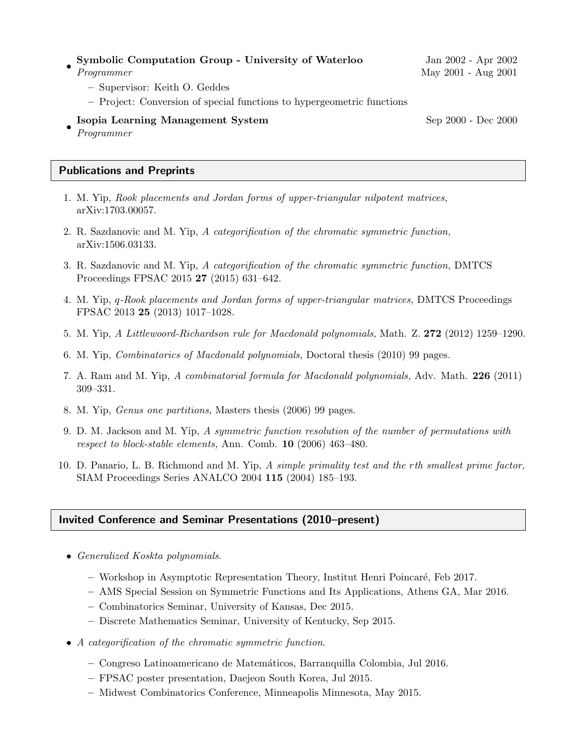| Symbolic Computation Group - University of Waterloo                    | Jan 2002 - Apr 2002 |
|------------------------------------------------------------------------|---------------------|
| Programmer                                                             | May 2001 - Aug 2001 |
| - Supervisor: Keith O. Geddes                                          |                     |
| - Project: Conversion of special functions to hypergeometric functions |                     |
| Isopia Learning Management System<br>Programmer                        | Sep 2000 - Dec 2000 |

## Publications and Preprints

- 1. M. Yip, Rook placements and Jordan forms of upper-triangular nilpotent matrices, arXiv:1703.00057.
- 2. R. Sazdanovic and M. Yip, A categorification of the chromatic symmetric function, arXiv:1506.03133.
- 3. R. Sazdanovic and M. Yip, A categorification of the chromatic symmetric function, DMTCS Proceedings FPSAC 2015 27 (2015) 631–642.
- 4. M. Yip, q-Rook placements and Jordan forms of upper-triangular matrices, DMTCS Proceedings FPSAC 2013 25 (2013) 1017–1028.
- 5. M. Yip, A Littlewoord-Richardson rule for Macdonald polynomials, Math. Z. 272 (2012) 1259–1290.
- 6. M. Yip, Combinatorics of Macdonald polynomials, Doctoral thesis (2010) 99 pages.
- 7. A. Ram and M. Yip, A combinatorial formula for Macdonald polynomials, Adv. Math. 226 (2011) 309–331.
- 8. M. Yip, Genus one partitions, Masters thesis (2006) 99 pages.
- 9. D. M. Jackson and M. Yip, A symmetric function resolution of the number of permutations with respect to block-stable elements, Ann. Comb. 10 (2006) 463–480.
- 10. D. Panario, L. B. Richmond and M. Yip, A simple primality test and the rth smallest prime factor, SIAM Proceedings Series ANALCO 2004 115 (2004) 185–193.

### Invited Conference and Seminar Presentations (2010–present)

- Generalized Koskta polynomials.
	- Workshop in Asymptotic Representation Theory, Institut Henri Poincar´e, Feb 2017.
	- AMS Special Session on Symmetric Functions and Its Applications, Athens GA, Mar 2016.
	- Combinatorics Seminar, University of Kansas, Dec 2015.
	- Discrete Mathematics Seminar, University of Kentucky, Sep 2015.
- A categorification of the chromatic symmetric function.
	- Congreso Latinoamericano de Matem´aticos, Barranquilla Colombia, Jul 2016.
	- FPSAC poster presentation, Daejeon South Korea, Jul 2015.
	- Midwest Combinatorics Conference, Minneapolis Minnesota, May 2015.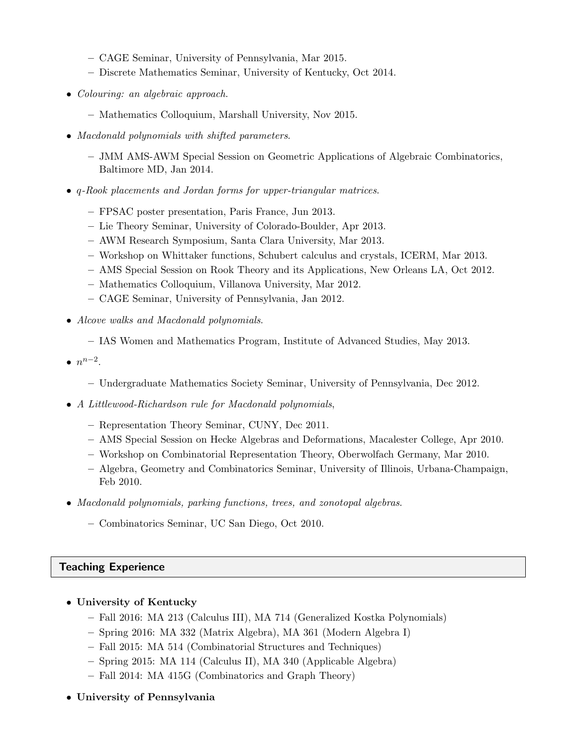- CAGE Seminar, University of Pennsylvania, Mar 2015.
- Discrete Mathematics Seminar, University of Kentucky, Oct 2014.
- Colouring: an algebraic approach.
	- Mathematics Colloquium, Marshall University, Nov 2015.
- Macdonald polynomials with shifted parameters.
	- JMM AMS-AWM Special Session on Geometric Applications of Algebraic Combinatorics, Baltimore MD, Jan 2014.
- q-Rook placements and Jordan forms for upper-triangular matrices.
	- FPSAC poster presentation, Paris France, Jun 2013.
	- Lie Theory Seminar, University of Colorado-Boulder, Apr 2013.
	- AWM Research Symposium, Santa Clara University, Mar 2013.
	- Workshop on Whittaker functions, Schubert calculus and crystals, ICERM, Mar 2013.
	- AMS Special Session on Rook Theory and its Applications, New Orleans LA, Oct 2012.
	- Mathematics Colloquium, Villanova University, Mar 2012.
	- CAGE Seminar, University of Pennsylvania, Jan 2012.
- Alcove walks and Macdonald polynomials.
	- IAS Women and Mathematics Program, Institute of Advanced Studies, May 2013.
- $\bullet$   $n^{n-2}$ .
	- Undergraduate Mathematics Society Seminar, University of Pennsylvania, Dec 2012.
- A Littlewood-Richardson rule for Macdonald polynomials,
	- Representation Theory Seminar, CUNY, Dec 2011.
	- AMS Special Session on Hecke Algebras and Deformations, Macalester College, Apr 2010.
	- Workshop on Combinatorial Representation Theory, Oberwolfach Germany, Mar 2010.
	- Algebra, Geometry and Combinatorics Seminar, University of Illinois, Urbana-Champaign, Feb 2010.
- Macdonald polynomials, parking functions, trees, and zonotopal algebras.
	- Combinatorics Seminar, UC San Diego, Oct 2010.

# Teaching Experience

- University of Kentucky
	- Fall 2016: MA 213 (Calculus III), MA 714 (Generalized Kostka Polynomials)
	- Spring 2016: MA 332 (Matrix Algebra), MA 361 (Modern Algebra I)
	- Fall 2015: MA 514 (Combinatorial Structures and Techniques)
	- Spring 2015: MA 114 (Calculus II), MA 340 (Applicable Algebra)
	- Fall 2014: MA 415G (Combinatorics and Graph Theory)
- University of Pennsylvania